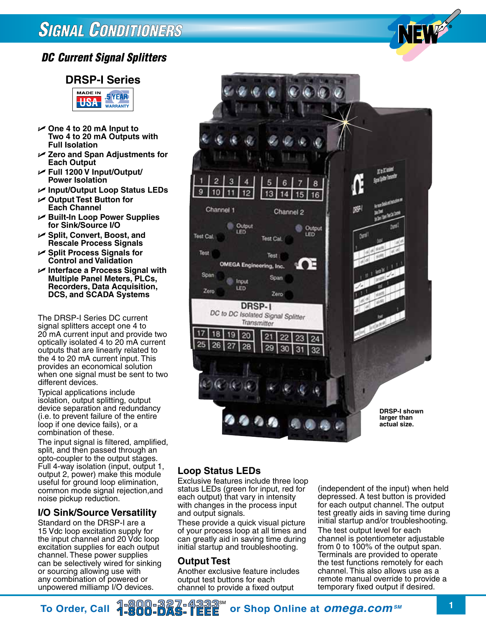## **SIGNAL CONDITIONERS**

## *DC Current Signal Splitters*

## **DRSP-I Series**



- U **One 4 to 20 mA Input to Two 4 to 20 mA Outputs with Full Isolation**
- U **Zero and Span Adjustments for Each Output**
- U **Full 1200 V Input/Output/ Power Isolation**
- U **Input/Output Loop Status LEDs**
- U **Output Test Button for Each Channel**
- U **Built-In Loop Power Supplies for Sink/Source I/O**
- U **Split, Convert, Boost, and Rescale Process Signals**
- U **Split Process Signals for Control and Validation**
- U **Interface a Process Signal with Multiple Panel Meters, PLCs, Recorders, Data Acquisition, DCS, and SCADA Systems**

The DRSP-I Series DC current signal splitters accept one 4 to 20 mA current input and provide two optically isolated 4 to 20 mA current outputs that are linearly related to the 4 to 20 mA current input. This provides an economical solution when one signal must be sent to two different devices.

Typical applications include isolation, output splitting, output device separation and redundancy (i.e. to prevent failure of the entire loop if one device fails), or a combination of these.

The input signal is filtered, amplified, split, and then passed through an opto-coupler to the output stages. Full 4-way isolation (input, output 1, output 2, power) make this module useful for ground loop elimination, common mode signal rejection,and noise pickup reduction.

## **I/O Sink/Source Versatility**

Standard on the DRSP-I are a 15 Vdc loop excitation supply for the input channel and 20 Vdc loop excitation supplies for each output channel. These power supplies can be selectively wired for sinking or sourcing allowing use with any combination of powered or unpowered milliamp I/O devices.



## **Loop Status LEDs**

Exclusive features include three loop status LEDs (green for input, red for each output) that vary in intensity with changes in the process input and output signals.

These provide a quick visual picture of your process loop at all times and can greatly aid in saving time during initial startup and troubleshooting.

## **Output Test**

Another exclusive feature includes output test buttons for each channel to provide a fixed output

(independent of the input) when held depressed. A test button is provided for each output channel. The output test greatly aids in saving time during initial startup and/or troubleshooting. The test output level for each channel is potentiometer adjustable from 0 to 100% of the output span. Terminals are provided to operate the test functions remotely for each channel. This also allows use as a remote manual override to provide a temporary fixed output if desired.